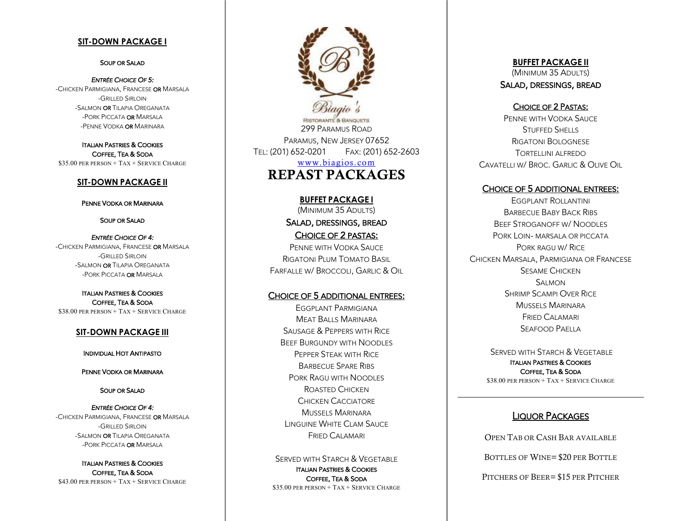#### **SIT -DOWN PACKAGE I**

#### SOUP OR SALAD

*ENTRÉE CHOICE OF 5:*  -Chicken Parmigiana, Francese **or** Marsala - GRILLED SIRLOIN -Salmon **or** Tilapia Oreganata -Pork Piccata **or** Marsala -Penne Vodka **or** Marinara

ITALIAN PASTRIES & COOKIES COFFEE, TEA & SODA \$ 3 5.00 PER PERSON + TAX + SERVICE CHARGE

#### **SIT -DOWN PACKAGE II**

PENNE VODKA OR MARINARA

SOUP OR SALAD

*ENTRÉE CHOICE OF 4:*  -Chicken Parmigiana, Francese **or** Marsala - GRILLED SIRLOIN -Salmon **or** Tilapia Oreganata -Pork Piccata **or** Marsala

ITALIAN PASTRIES & COOKIES COFFEE, TEA & SODA \$ 3 8.00 PER PERSON + TAX + SERVICE CHARGE

#### **SIT -DOWN PACKAGE III**

INDIVIDUAL HOT ANTIPASTO

PENNE VODKA OR MARINARA

SOUP OR SALAD

#### *ENTRÉE CHOICE OF 4:*

-Chicken Parmigiana, Francese **or** Marsala - GRILLED SIRLOIN -Salmon **or** Tilapia Oreganata -Pork Piccata **or** Marsala

ITALIAN PASTRIES & COOKIES COFFEE, TEA & SODA \$ 4 3.00 PER PERSON + TAX + SERVICE CHARGE

299 PARAMUS ROAD PARAMUS , NEW JERSEY 07652 TEL : (201) 652 -0201 FAX : (201) 652 - 2603 www.biagios.com REPAS T PACKAGES

> **BUFFET PACKAGE I** (MINIMUM 35 ADULTS ) **SALAD, DRESSINGS, BREAD<br>CHOICE OF 2 PASTAS:**<br>PENNE WITH VODKA SAUCE

RIGATONI PLUM TOMATO BASIL FARFALLE W/ BROCCOLI, GARLIC & OIL

### CHOICE OF 5 ADDITIONAL ENTREES:

EGGPLANT PARMIGIANA MEAT BALLS MARINARA SAUSAGE & PEPPERS WITH RICE BEEF BURGUNDY WITH NOODLES PEPPER STEAK WITH RICE BARBECUE SPARE RIBS PORK RAGU WITH NOODLES ROASTED CHICKEN CHICKEN CACCIATORE Mussels Marinara LINGUINE WHITE CLAM SAUCE FRIED CALAMARI

SERVED WITH STARCH & VEGETABLE ITALIAN PASTRIES & COOKIES COFFEE, TEA & SODA \$ 3 5.00 PER PERSON + TAX + SERVICE CHARGE **BUFFET PACKAGE II** (MINIMUM 35 ADULTS )

**SALAD, DRESSINGS, BREAD<br>CHOICE OF 2 PASTAS:<br>PENNE WITH VODKA SAUCE** STUFFED SHELLS RIGATONI BOLOGNESE TORTELLINI ALFREDO CAVATELLI W / BROC . GARLIC & OLIVE OIL

#### CHOICE OF 5 ADDITIONAL ENTREES:

EGGPLANT ROLLANTINI Barbecue Baby Back Ribs BEEF STROGANOFF W / NOODLES PORK LOIN - MARSALA OR PICCATA PORK RAGU W/ RICE CHICKEN MARSALA , PARMIGIANA OR FRANCESE SESAME CHICKEN SALMON. SHRIMP SCAMPI OVER RICE Mussels Marinara FRIED CALAMARI SEAFOOD PAELLA

SERVED WITH STARCH & VEGETABLE ITALIAN PASTRIES & COOKIES COFFEE, TEA & SODA \$ 3 8.00 PER PERSON + TAX + SERVICE CHARGE

### LIQUOR PACKAGES

OPEN TAB OR CASH BAR AVAILABLE BOTTLES OF WINE= \$20 PER BOTTLE

PITCHERS OF BEER = \$15 PER PITCHER